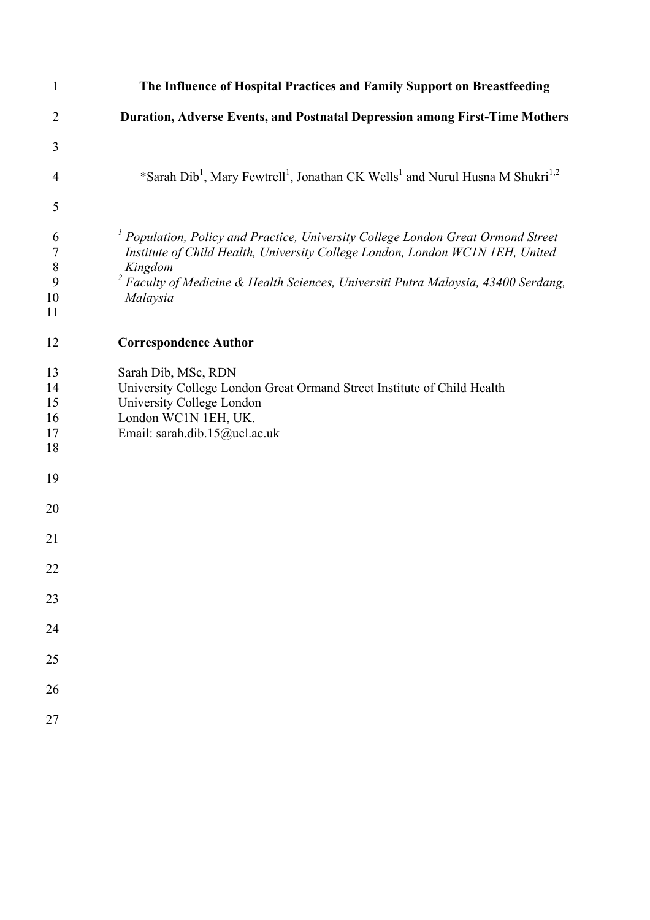| 1                                           | The Influence of Hospital Practices and Family Support on Breastfeeding                                                                                                                                                                                                        |
|---------------------------------------------|--------------------------------------------------------------------------------------------------------------------------------------------------------------------------------------------------------------------------------------------------------------------------------|
| $\overline{2}$                              | Duration, Adverse Events, and Postnatal Depression among First-Time Mothers                                                                                                                                                                                                    |
| 3                                           |                                                                                                                                                                                                                                                                                |
| 4                                           | *Sarah Dib <sup>1</sup> , Mary Fewtrell <sup>1</sup> , Jonathan CK Wells <sup>1</sup> and Nurul Husna M Shukri <sup>1,2</sup>                                                                                                                                                  |
| 5                                           |                                                                                                                                                                                                                                                                                |
| 6<br>$\boldsymbol{7}$<br>$\,8\,$<br>9<br>10 | $1$ Population, Policy and Practice, University College London Great Ormond Street<br>Institute of Child Health, University College London, London WC1N 1EH, United<br>Kingdom<br>Faculty of Medicine & Health Sciences, Universiti Putra Malaysia, 43400 Serdang,<br>Malaysia |
| 11                                          |                                                                                                                                                                                                                                                                                |
| 12                                          | <b>Correspondence Author</b>                                                                                                                                                                                                                                                   |
| 13<br>14<br>15<br>16<br>17<br>18            | Sarah Dib, MSc, RDN<br>University College London Great Ormand Street Institute of Child Health<br>University College London<br>London WC1N 1EH, UK.<br>Email: sarah.dib.15@ucl.ac.uk                                                                                           |
| 19                                          |                                                                                                                                                                                                                                                                                |
| 20                                          |                                                                                                                                                                                                                                                                                |
| 21                                          |                                                                                                                                                                                                                                                                                |
| 22                                          |                                                                                                                                                                                                                                                                                |
| 23                                          |                                                                                                                                                                                                                                                                                |
| 24                                          |                                                                                                                                                                                                                                                                                |
| 25                                          |                                                                                                                                                                                                                                                                                |
| 26                                          |                                                                                                                                                                                                                                                                                |
| 27                                          |                                                                                                                                                                                                                                                                                |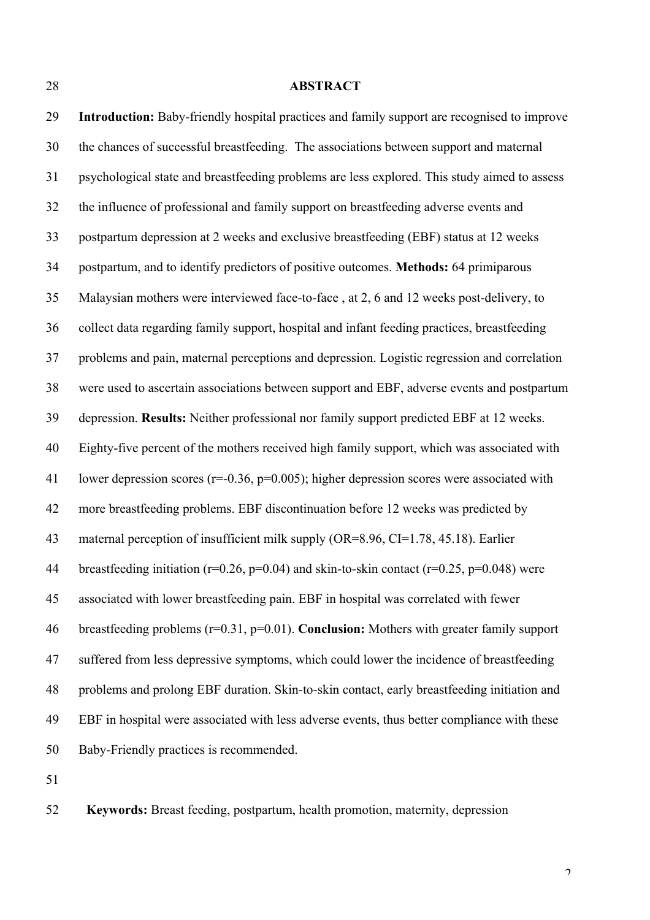#### **ABSTRACT**

 **Introduction:** Baby-friendly hospital practices and family support are recognised to improve the chances of successful breastfeeding. The associations between support and maternal psychological state and breastfeeding problems are less explored. This study aimed to assess the influence of professional and family support on breastfeeding adverse events and postpartum depression at 2 weeks and exclusive breastfeeding (EBF) status at 12 weeks postpartum, and to identify predictors of positive outcomes. **Methods:** 64 primiparous Malaysian mothers were interviewed face-to-face , at 2, 6 and 12 weeks post-delivery, to collect data regarding family support, hospital and infant feeding practices, breastfeeding problems and pain, maternal perceptions and depression. Logistic regression and correlation were used to ascertain associations between support and EBF, adverse events and postpartum depression. **Results:** Neither professional nor family support predicted EBF at 12 weeks. Eighty-five percent of the mothers received high family support, which was associated with lower depression scores (r=-0.36, p=0.005); higher depression scores were associated with more breastfeeding problems. EBF discontinuation before 12 weeks was predicted by maternal perception of insufficient milk supply (OR=8.96, CI=1.78, 45.18). Earlier 44 breastfeeding initiation ( $r=0.26$ ,  $p=0.04$ ) and skin-to-skin contact ( $r=0.25$ ,  $p=0.048$ ) were associated with lower breastfeeding pain. EBF in hospital was correlated with fewer breastfeeding problems (r=0.31, p=0.01). **Conclusion:** Mothers with greater family support suffered from less depressive symptoms, which could lower the incidence of breastfeeding problems and prolong EBF duration. Skin-to-skin contact, early breastfeeding initiation and EBF in hospital were associated with less adverse events, thus better compliance with these Baby-Friendly practices is recommended.

**Keywords:** Breast feeding, postpartum, health promotion, maternity, depression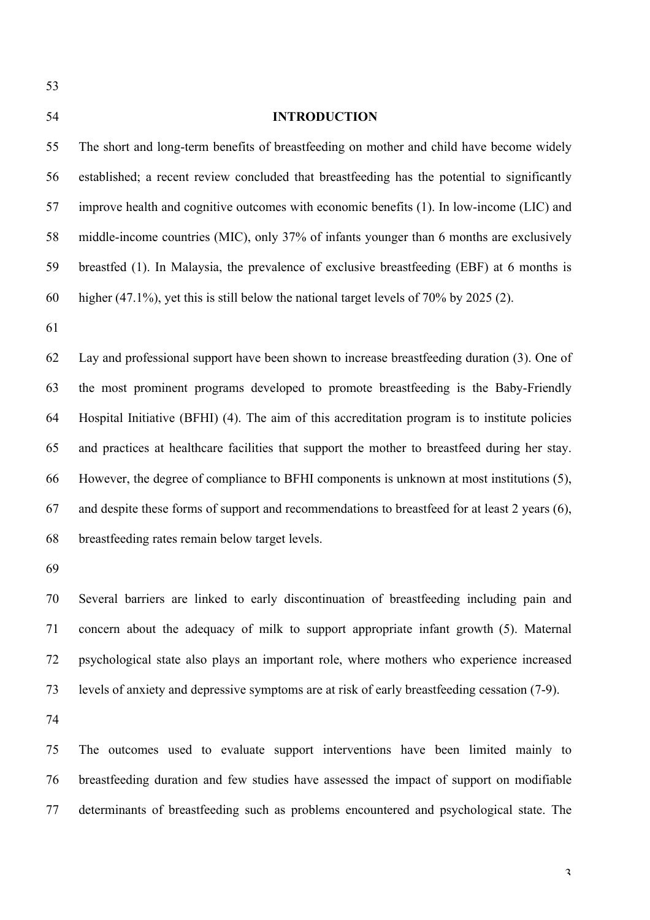# **INTRODUCTION** The short and long-term benefits of breastfeeding on mother and child have become widely established; a recent review concluded that breastfeeding has the potential to significantly improve health and cognitive outcomes with economic benefits (1). In low-income (LIC) and middle-income countries (MIC), only 37% of infants younger than 6 months are exclusively breastfed (1). In Malaysia, the prevalence of exclusive breastfeeding (EBF) at 6 months is higher (47.1%), yet this is still below the national target levels of 70% by 2025 (2). Lay and professional support have been shown to increase breastfeeding duration (3). One of the most prominent programs developed to promote breastfeeding is the Baby-Friendly

 Hospital Initiative (BFHI) (4). The aim of this accreditation program is to institute policies and practices at healthcare facilities that support the mother to breastfeed during her stay. However, the degree of compliance to BFHI components is unknown at most institutions (5), and despite these forms of support and recommendations to breastfeed for at least 2 years (6), breastfeeding rates remain below target levels.

 Several barriers are linked to early discontinuation of breastfeeding including pain and concern about the adequacy of milk to support appropriate infant growth (5). Maternal psychological state also plays an important role, where mothers who experience increased levels of anxiety and depressive symptoms are at risk of early breastfeeding cessation (7-9).

 The outcomes used to evaluate support interventions have been limited mainly to breastfeeding duration and few studies have assessed the impact of support on modifiable determinants of breastfeeding such as problems encountered and psychological state. The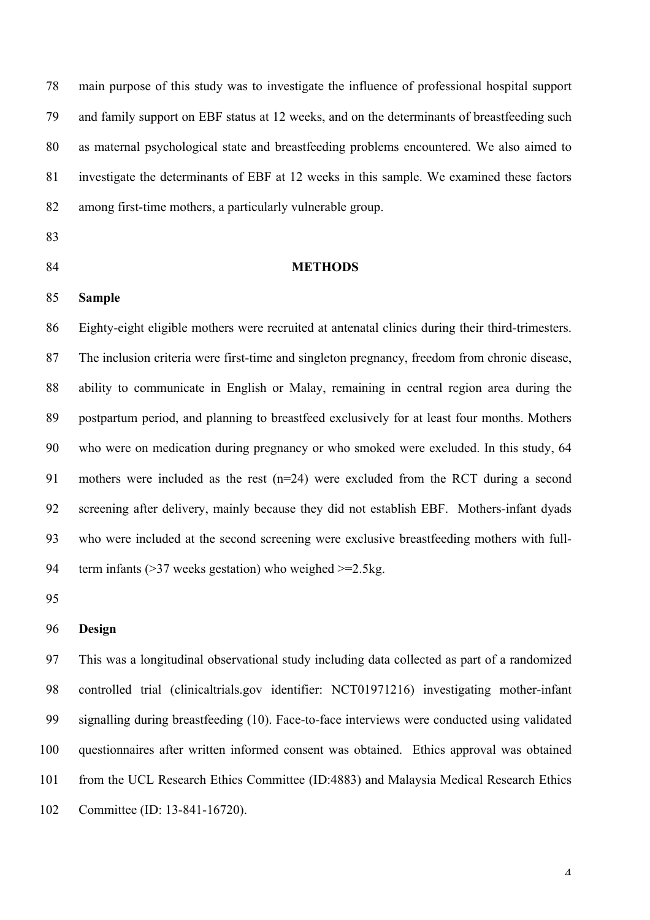main purpose of this study was to investigate the influence of professional hospital support and family support on EBF status at 12 weeks, and on the determinants of breastfeeding such as maternal psychological state and breastfeeding problems encountered. We also aimed to investigate the determinants of EBF at 12 weeks in this sample. We examined these factors among first-time mothers, a particularly vulnerable group.

- 
- 

# **METHODS**

**Sample**

 Eighty-eight eligible mothers were recruited at antenatal clinics during their third-trimesters. The inclusion criteria were first-time and singleton pregnancy, freedom from chronic disease, ability to communicate in English or Malay, remaining in central region area during the postpartum period, and planning to breastfeed exclusively for at least four months. Mothers who were on medication during pregnancy or who smoked were excluded. In this study, 64 mothers were included as the rest (n=24) were excluded from the RCT during a second screening after delivery, mainly because they did not establish EBF. Mothers-infant dyads who were included at the second screening were exclusive breastfeeding mothers with full-term infants (>37 weeks gestation) who weighed >=2.5kg.

## **Design**

 This was a longitudinal observational study including data collected as part of a randomized controlled trial (clinicaltrials.gov identifier: NCT01971216) investigating mother-infant signalling during breastfeeding (10). Face-to-face interviews were conducted using validated questionnaires after written informed consent was obtained. Ethics approval was obtained from the UCL Research Ethics Committee (ID:4883) and Malaysia Medical Research Ethics Committee (ID: 13-841-16720).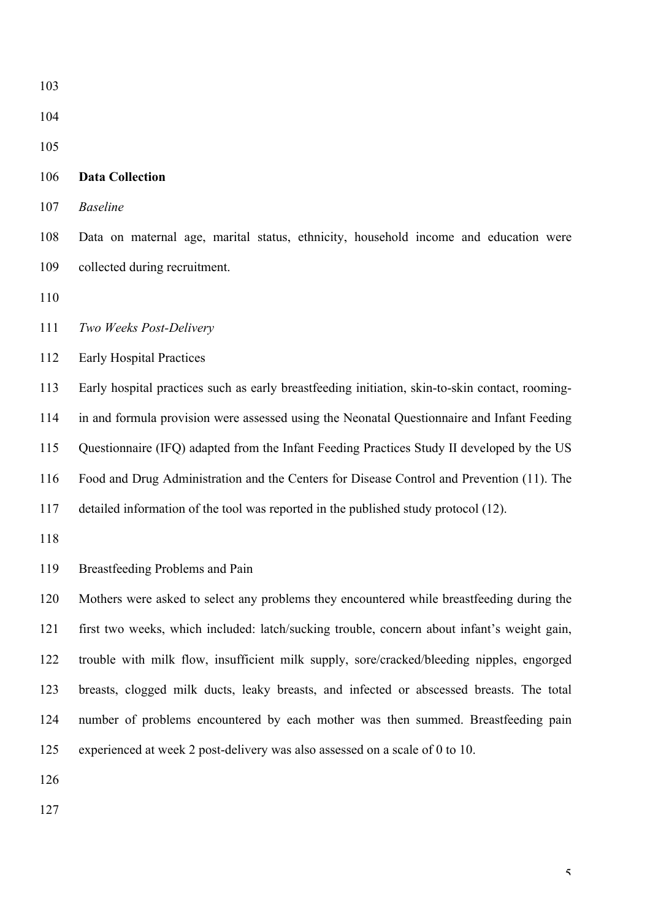| 103 |                                                                                                 |
|-----|-------------------------------------------------------------------------------------------------|
| 104 |                                                                                                 |
| 105 |                                                                                                 |
| 106 | <b>Data Collection</b>                                                                          |
| 107 | <b>Baseline</b>                                                                                 |
| 108 | Data on maternal age, marital status, ethnicity, household income and education were            |
| 109 | collected during recruitment.                                                                   |
| 110 |                                                                                                 |
| 111 | Two Weeks Post-Delivery                                                                         |
| 112 | <b>Early Hospital Practices</b>                                                                 |
| 113 | Early hospital practices such as early breastfeeding initiation, skin-to-skin contact, rooming- |
| 114 | in and formula provision were assessed using the Neonatal Questionnaire and Infant Feeding      |
| 115 | Questionnaire (IFQ) adapted from the Infant Feeding Practices Study II developed by the US      |
| 116 | Food and Drug Administration and the Centers for Disease Control and Prevention (11). The       |
| 117 | detailed information of the tool was reported in the published study protocol (12).             |
| 118 |                                                                                                 |
| 119 | Breastfeeding Problems and Pain                                                                 |
| 120 | Mothers were asked to select any problems they encountered while breastfeeding during the       |
| 121 | first two weeks, which included: latch/sucking trouble, concern about infant's weight gain,     |
| 122 | trouble with milk flow, insufficient milk supply, sore/cracked/bleeding nipples, engorged       |
| 123 | breasts, clogged milk ducts, leaky breasts, and infected or abscessed breasts. The total        |
| 124 | number of problems encountered by each mother was then summed. Breastfeeding pain               |
| 125 | experienced at week 2 post-delivery was also assessed on a scale of 0 to 10.                    |
| 126 |                                                                                                 |
| 127 |                                                                                                 |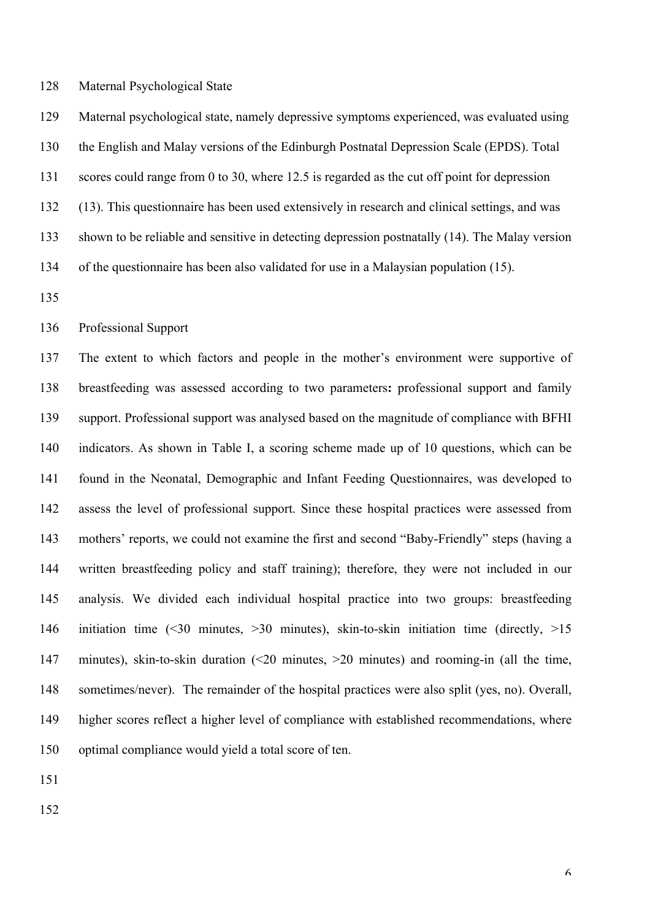#### Maternal Psychological State

 Maternal psychological state, namely depressive symptoms experienced, was evaluated using the English and Malay versions of the Edinburgh Postnatal Depression Scale (EPDS). Total scores could range from 0 to 30, where 12.5 is regarded as the cut off point for depression (13). This questionnaire has been used extensively in research and clinical settings, and was shown to be reliable and sensitive in detecting depression postnatally (14). The Malay version of the questionnaire has been also validated for use in a Malaysian population (15).

Professional Support

 The extent to which factors and people in the mother's environment were supportive of breastfeeding was assessed according to two parameters**:** professional support and family support. Professional support was analysed based on the magnitude of compliance with BFHI indicators. As shown in Table I, a scoring scheme made up of 10 questions, which can be found in the Neonatal, Demographic and Infant Feeding Questionnaires, was developed to assess the level of professional support. Since these hospital practices were assessed from mothers' reports, we could not examine the first and second "Baby-Friendly" steps (having a written breastfeeding policy and staff training); therefore, they were not included in our analysis. We divided each individual hospital practice into two groups: breastfeeding initiation time (<30 minutes, >30 minutes), skin-to-skin initiation time (directly, >15 minutes), skin-to-skin duration (<20 minutes, >20 minutes) and rooming-in (all the time, sometimes/never). The remainder of the hospital practices were also split (yes, no). Overall, higher scores reflect a higher level of compliance with established recommendations, where optimal compliance would yield a total score of ten.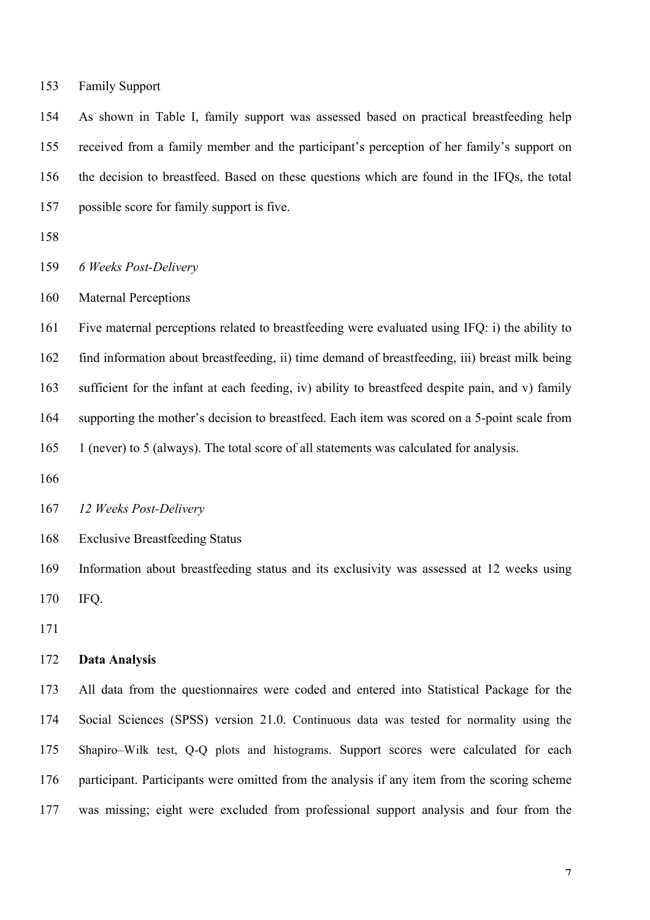Family Support

 As shown in Table I, family support was assessed based on practical breastfeeding help received from a family member and the participant's perception of her family's support on the decision to breastfeed. Based on these questions which are found in the IFQs, the total possible score for family support is five.

*6 Weeks Post-Delivery*

Maternal Perceptions

 Five maternal perceptions related to breastfeeding were evaluated using IFQ: i) the ability to find information about breastfeeding, ii) time demand of breastfeeding, iii) breast milk being sufficient for the infant at each feeding, iv) ability to breastfeed despite pain, and v) family supporting the mother's decision to breastfeed. Each item was scored on a 5-point scale from 1 (never) to 5 (always). The total score of all statements was calculated for analysis.

*12 Weeks Post-Delivery*

Exclusive Breastfeeding Status

 Information about breastfeeding status and its exclusivity was assessed at 12 weeks using IFQ.

#### **Data Analysis**

 All data from the questionnaires were coded and entered into Statistical Package for the Social Sciences (SPSS) version 21.0. Continuous data was tested for normality using the Shapiro–Wilk test, Q-Q plots and histograms. Support scores were calculated for each participant. Participants were omitted from the analysis if any item from the scoring scheme was missing; eight were excluded from professional support analysis and four from the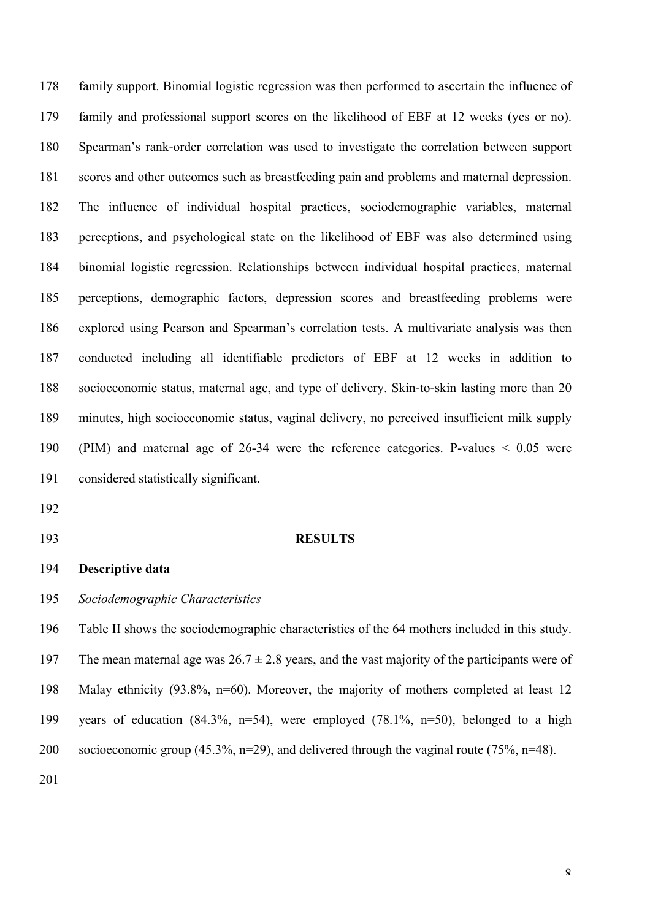family support. Binomial logistic regression was then performed to ascertain the influence of family and professional support scores on the likelihood of EBF at 12 weeks (yes or no). Spearman's rank-order correlation was used to investigate the correlation between support scores and other outcomes such as breastfeeding pain and problems and maternal depression. The influence of individual hospital practices, sociodemographic variables, maternal perceptions, and psychological state on the likelihood of EBF was also determined using binomial logistic regression. Relationships between individual hospital practices, maternal perceptions, demographic factors, depression scores and breastfeeding problems were explored using Pearson and Spearman's correlation tests. A multivariate analysis was then conducted including all identifiable predictors of EBF at 12 weeks in addition to socioeconomic status, maternal age, and type of delivery. Skin-to-skin lasting more than 20 minutes, high socioeconomic status, vaginal delivery, no perceived insufficient milk supply (PIM) and maternal age of 26-34 were the reference categories. P-values < 0.05 were considered statistically significant.

- 
- 

#### **RESULTS**

# **Descriptive data**

*Sociodemographic Characteristics*

 Table II shows the sociodemographic characteristics of the 64 mothers included in this study. 197 The mean maternal age was  $26.7 \pm 2.8$  years, and the vast majority of the participants were of Malay ethnicity (93.8%, n=60). Moreover, the majority of mothers completed at least 12 years of education (84.3%, n=54), were employed (78.1%, n=50), belonged to a high socioeconomic group (45.3%, n=29), and delivered through the vaginal route (75%, n=48).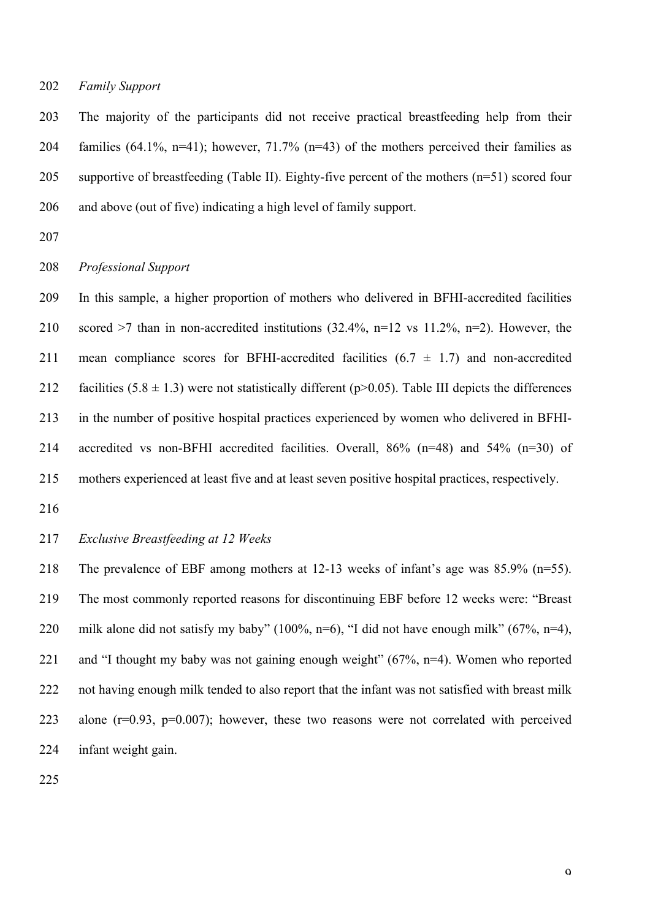## *Family Support*

 The majority of the participants did not receive practical breastfeeding help from their families (64.1%, n=41); however, 71.7% (n=43) of the mothers perceived their families as supportive of breastfeeding (Table II). Eighty-five percent of the mothers (n=51) scored four and above (out of five) indicating a high level of family support.

## *Professional Support*

 In this sample, a higher proportion of mothers who delivered in BFHI-accredited facilities scored >7 than in non-accredited institutions (32.4%, n=12 vs 11.2%, n=2). However, the 211 mean compliance scores for BFHI-accredited facilities  $(6.7 \pm 1.7)$  and non-accredited 212 facilities  $(5.8 \pm 1.3)$  were not statistically different (p>0.05). Table III depicts the differences in the number of positive hospital practices experienced by women who delivered in BFHI- accredited vs non-BFHI accredited facilities. Overall, 86% (n=48) and 54% (n=30) of mothers experienced at least five and at least seven positive hospital practices, respectively.

# *Exclusive Breastfeeding at 12 Weeks*

 The prevalence of EBF among mothers at 12-13 weeks of infant's age was 85.9% (n=55). The most commonly reported reasons for discontinuing EBF before 12 weeks were: "Breast milk alone did not satisfy my baby" (100%, n=6), "I did not have enough milk" (67%, n=4), and "I thought my baby was not gaining enough weight" (67%, n=4). Women who reported 222 not having enough milk tended to also report that the infant was not satisfied with breast milk alone (r=0.93, p=0.007); however, these two reasons were not correlated with perceived infant weight gain.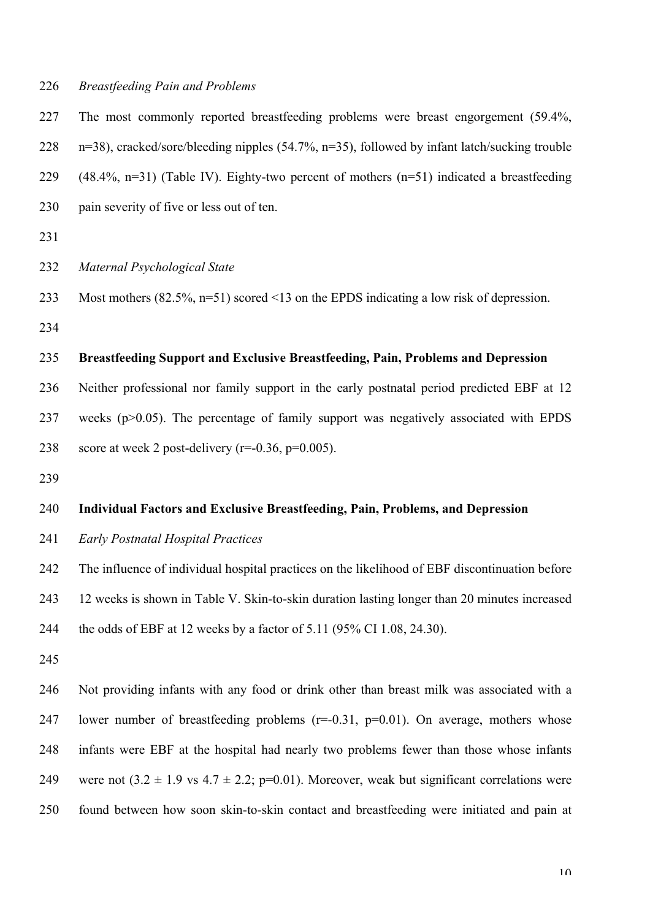## *Breastfeeding Pain and Problems*

 The most commonly reported breastfeeding problems were breast engorgement (59.4%, n=38), cracked/sore/bleeding nipples (54.7%, n=35), followed by infant latch/sucking trouble  $(48.4\%, n=31)$  (Table IV). Eighty-two percent of mothers  $(n=51)$  indicated a breastfeeding pain severity of five or less out of ten.

## *Maternal Psychological State*

Most mothers (82.5%, n=51) scored <13 on the EPDS indicating a low risk of depression.

# **Breastfeeding Support and Exclusive Breastfeeding, Pain, Problems and Depression**

 Neither professional nor family support in the early postnatal period predicted EBF at 12 weeks (p>0.05). The percentage of family support was negatively associated with EPDS 238 score at week 2 post-delivery  $(r=0.36, p=0.005)$ .

# **Individual Factors and Exclusive Breastfeeding, Pain, Problems, and Depression**

*Early Postnatal Hospital Practices*

The influence of individual hospital practices on the likelihood of EBF discontinuation before

12 weeks is shown in Table V. Skin-to-skin duration lasting longer than 20 minutes increased

the odds of EBF at 12 weeks by a factor of 5.11 (95% CI 1.08, 24.30).

 Not providing infants with any food or drink other than breast milk was associated with a 247 lower number of breastfeeding problems (r=-0.31, p=0.01). On average, mothers whose infants were EBF at the hospital had nearly two problems fewer than those whose infants 249 were not  $(3.2 \pm 1.9 \text{ vs } 4.7 \pm 2.2; \text{ p=0.01})$ . Moreover, weak but significant correlations were found between how soon skin-to-skin contact and breastfeeding were initiated and pain at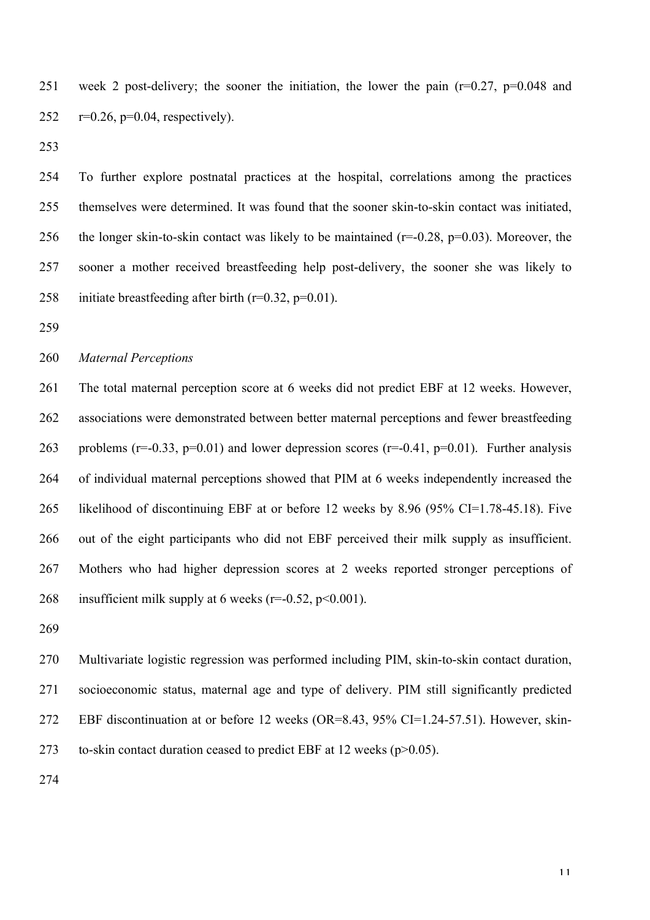week 2 post-delivery; the sooner the initiation, the lower the pain (r=0.27, p=0.048 and 252  $r=0.26$ ,  $p=0.04$ , respectively).

 To further explore postnatal practices at the hospital, correlations among the practices themselves were determined. It was found that the sooner skin-to-skin contact was initiated, 256 the longer skin-to-skin contact was likely to be maintained ( $r=-0.28$ ,  $p=0.03$ ). Moreover, the sooner a mother received breastfeeding help post-delivery, the sooner she was likely to 258 initiate breastfeeding after birth  $(r=0.32, p=0.01)$ .

# *Maternal Perceptions*

 The total maternal perception score at 6 weeks did not predict EBF at 12 weeks. However, associations were demonstrated between better maternal perceptions and fewer breastfeeding 263 problems ( $r=-0.33$ ,  $p=0.01$ ) and lower depression scores ( $r=-0.41$ ,  $p=0.01$ ). Further analysis of individual maternal perceptions showed that PIM at 6 weeks independently increased the likelihood of discontinuing EBF at or before 12 weeks by 8.96 (95% CI=1.78-45.18). Five out of the eight participants who did not EBF perceived their milk supply as insufficient. Mothers who had higher depression scores at 2 weeks reported stronger perceptions of 268 insufficient milk supply at 6 weeks ( $r=-0.52$ ,  $p<0.001$ ).

 Multivariate logistic regression was performed including PIM, skin-to-skin contact duration, socioeconomic status, maternal age and type of delivery. PIM still significantly predicted EBF discontinuation at or before 12 weeks (OR=8.43, 95% CI=1.24-57.51). However, skin-273 to-skin contact duration ceased to predict EBF at 12 weeks  $(p>0.05)$ .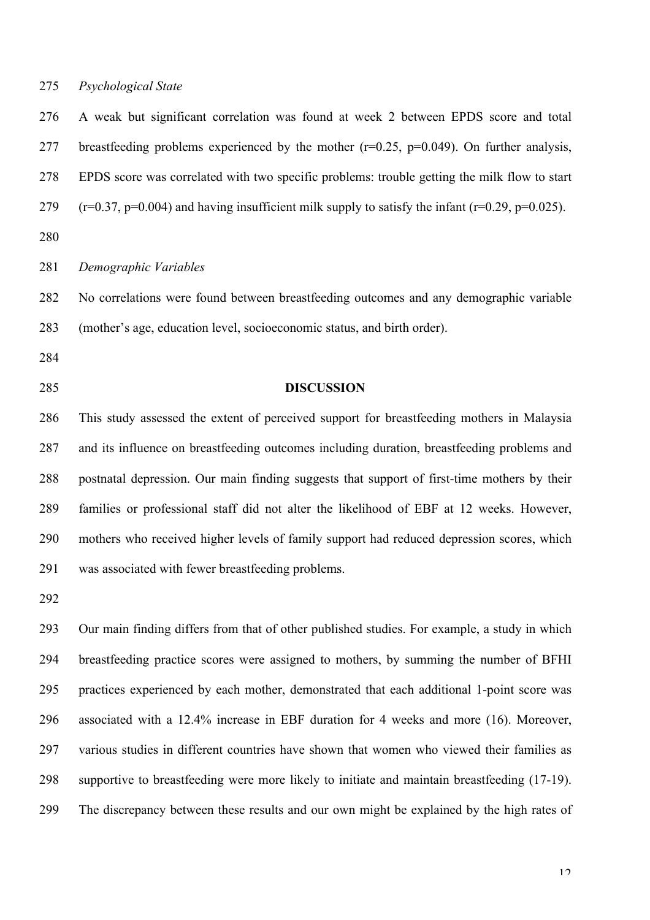## *Psychological State*

 A weak but significant correlation was found at week 2 between EPDS score and total 277 breastfeeding problems experienced by the mother  $(r=0.25, p=0.049)$ . On further analysis, EPDS score was correlated with two specific problems: trouble getting the milk flow to start  $(r=0.37, p=0.004)$  and having insufficient milk supply to satisfy the infant  $(r=0.29, p=0.025)$ .

*Demographic Variables*

 No correlations were found between breastfeeding outcomes and any demographic variable (mother's age, education level, socioeconomic status, and birth order).

# **DISCUSSION**

 This study assessed the extent of perceived support for breastfeeding mothers in Malaysia and its influence on breastfeeding outcomes including duration, breastfeeding problems and postnatal depression. Our main finding suggests that support of first-time mothers by their families or professional staff did not alter the likelihood of EBF at 12 weeks. However, mothers who received higher levels of family support had reduced depression scores, which was associated with fewer breastfeeding problems.

 Our main finding differs from that of other published studies. For example, a study in which breastfeeding practice scores were assigned to mothers, by summing the number of BFHI practices experienced by each mother, demonstrated that each additional 1-point score was associated with a 12.4% increase in EBF duration for 4 weeks and more (16). Moreover, various studies in different countries have shown that women who viewed their families as supportive to breastfeeding were more likely to initiate and maintain breastfeeding (17-19). The discrepancy between these results and our own might be explained by the high rates of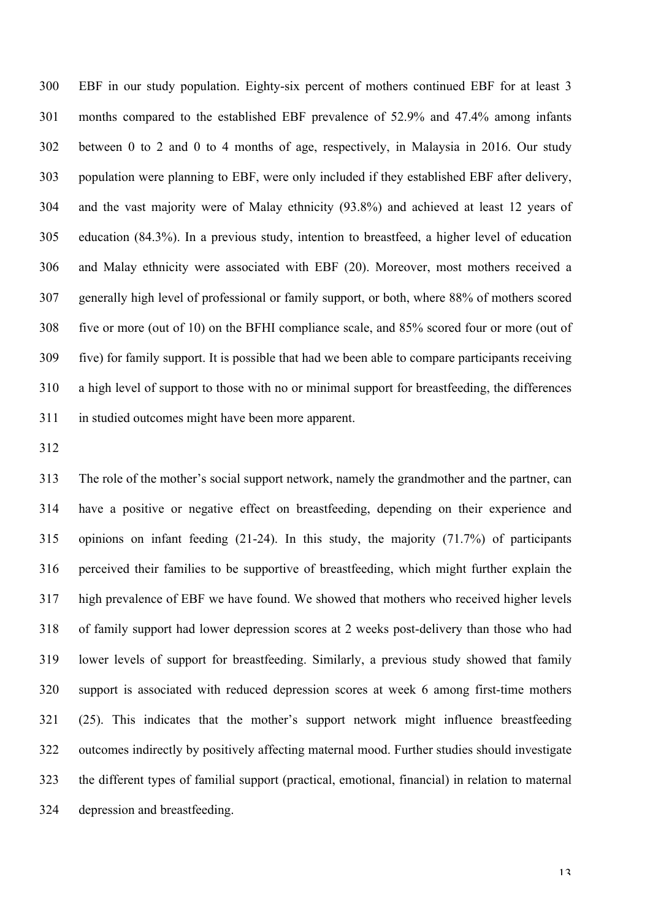EBF in our study population. Eighty-six percent of mothers continued EBF for at least 3 months compared to the established EBF prevalence of 52.9% and 47.4% among infants between 0 to 2 and 0 to 4 months of age, respectively, in Malaysia in 2016. Our study population were planning to EBF, were only included if they established EBF after delivery, and the vast majority were of Malay ethnicity (93.8%) and achieved at least 12 years of education (84.3%). In a previous study, intention to breastfeed, a higher level of education and Malay ethnicity were associated with EBF (20). Moreover, most mothers received a generally high level of professional or family support, or both, where 88% of mothers scored five or more (out of 10) on the BFHI compliance scale, and 85% scored four or more (out of five) for family support. It is possible that had we been able to compare participants receiving a high level of support to those with no or minimal support for breastfeeding, the differences in studied outcomes might have been more apparent.

 The role of the mother's social support network, namely the grandmother and the partner, can have a positive or negative effect on breastfeeding, depending on their experience and opinions on infant feeding (21-24). In this study, the majority (71.7%) of participants perceived their families to be supportive of breastfeeding, which might further explain the high prevalence of EBF we have found. We showed that mothers who received higher levels of family support had lower depression scores at 2 weeks post-delivery than those who had lower levels of support for breastfeeding. Similarly, a previous study showed that family support is associated with reduced depression scores at week 6 among first-time mothers (25). This indicates that the mother's support network might influence breastfeeding outcomes indirectly by positively affecting maternal mood. Further studies should investigate the different types of familial support (practical, emotional, financial) in relation to maternal depression and breastfeeding.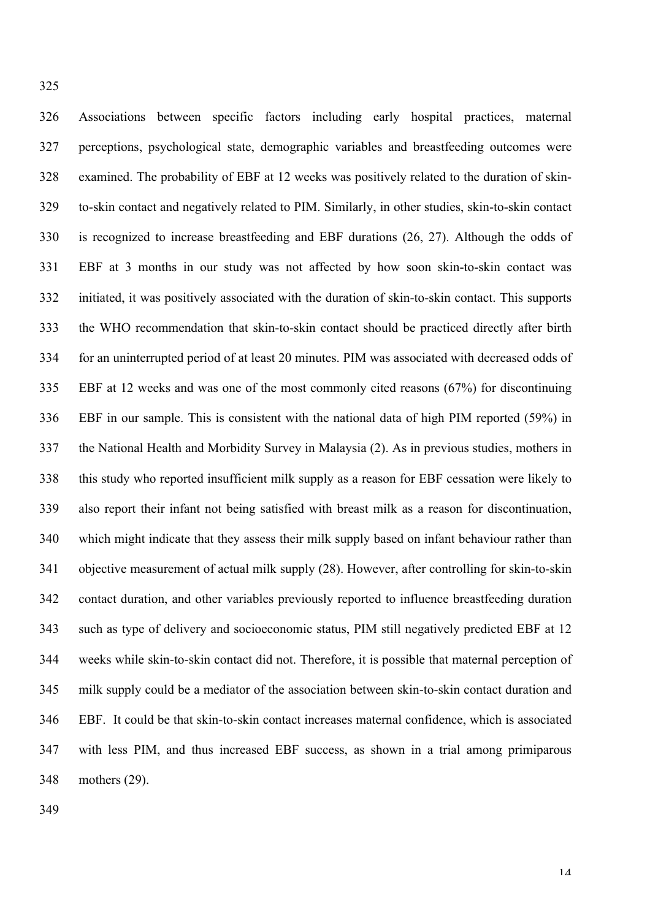Associations between specific factors including early hospital practices, maternal perceptions, psychological state, demographic variables and breastfeeding outcomes were examined. The probability of EBF at 12 weeks was positively related to the duration of skin- to-skin contact and negatively related to PIM. Similarly, in other studies, skin-to-skin contact is recognized to increase breastfeeding and EBF durations (26, 27). Although the odds of EBF at 3 months in our study was not affected by how soon skin-to-skin contact was initiated, it was positively associated with the duration of skin-to-skin contact. This supports the WHO recommendation that skin-to-skin contact should be practiced directly after birth for an uninterrupted period of at least 20 minutes. PIM was associated with decreased odds of EBF at 12 weeks and was one of the most commonly cited reasons (67%) for discontinuing EBF in our sample. This is consistent with the national data of high PIM reported (59%) in the National Health and Morbidity Survey in Malaysia (2). As in previous studies, mothers in this study who reported insufficient milk supply as a reason for EBF cessation were likely to also report their infant not being satisfied with breast milk as a reason for discontinuation, which might indicate that they assess their milk supply based on infant behaviour rather than objective measurement of actual milk supply (28). However, after controlling for skin-to-skin contact duration, and other variables previously reported to influence breastfeeding duration such as type of delivery and socioeconomic status, PIM still negatively predicted EBF at 12 weeks while skin-to-skin contact did not. Therefore, it is possible that maternal perception of milk supply could be a mediator of the association between skin-to-skin contact duration and EBF. It could be that skin-to-skin contact increases maternal confidence, which is associated with less PIM, and thus increased EBF success, as shown in a trial among primiparous mothers (29).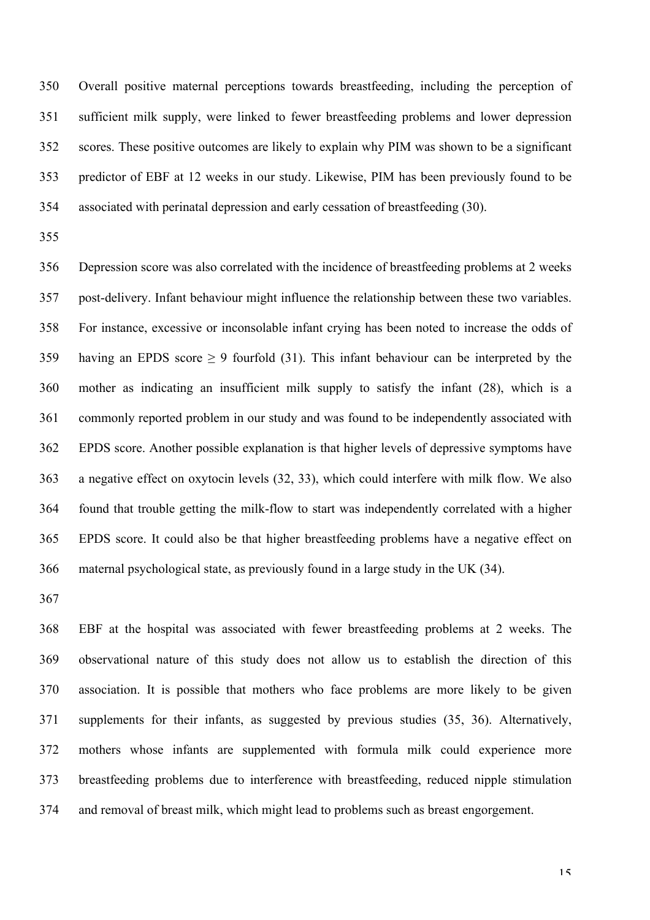Overall positive maternal perceptions towards breastfeeding, including the perception of sufficient milk supply, were linked to fewer breastfeeding problems and lower depression scores. These positive outcomes are likely to explain why PIM was shown to be a significant predictor of EBF at 12 weeks in our study. Likewise, PIM has been previously found to be associated with perinatal depression and early cessation of breastfeeding (30).

 Depression score was also correlated with the incidence of breastfeeding problems at 2 weeks post-delivery. Infant behaviour might influence the relationship between these two variables. For instance, excessive or inconsolable infant crying has been noted to increase the odds of 359 having an EPDS score  $\geq$  9 fourfold (31). This infant behaviour can be interpreted by the mother as indicating an insufficient milk supply to satisfy the infant (28), which is a commonly reported problem in our study and was found to be independently associated with EPDS score. Another possible explanation is that higher levels of depressive symptoms have a negative effect on oxytocin levels (32, 33), which could interfere with milk flow. We also found that trouble getting the milk-flow to start was independently correlated with a higher EPDS score. It could also be that higher breastfeeding problems have a negative effect on maternal psychological state, as previously found in a large study in the UK (34).

 EBF at the hospital was associated with fewer breastfeeding problems at 2 weeks. The observational nature of this study does not allow us to establish the direction of this association. It is possible that mothers who face problems are more likely to be given supplements for their infants, as suggested by previous studies (35, 36). Alternatively, mothers whose infants are supplemented with formula milk could experience more breastfeeding problems due to interference with breastfeeding, reduced nipple stimulation and removal of breast milk, which might lead to problems such as breast engorgement.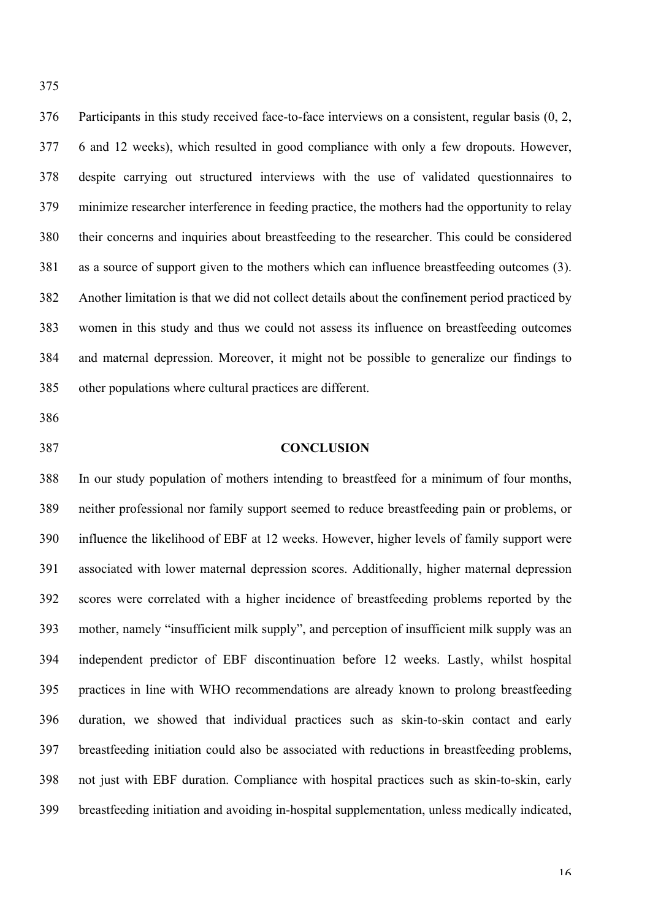Participants in this study received face-to-face interviews on a consistent, regular basis (0, 2, 6 and 12 weeks), which resulted in good compliance with only a few dropouts. However, despite carrying out structured interviews with the use of validated questionnaires to minimize researcher interference in feeding practice, the mothers had the opportunity to relay their concerns and inquiries about breastfeeding to the researcher. This could be considered as a source of support given to the mothers which can influence breastfeeding outcomes (3). Another limitation is that we did not collect details about the confinement period practiced by women in this study and thus we could not assess its influence on breastfeeding outcomes and maternal depression. Moreover, it might not be possible to generalize our findings to other populations where cultural practices are different.

- 
- 

# **CONCLUSION**

 In our study population of mothers intending to breastfeed for a minimum of four months, neither professional nor family support seemed to reduce breastfeeding pain or problems, or influence the likelihood of EBF at 12 weeks. However, higher levels of family support were associated with lower maternal depression scores. Additionally, higher maternal depression scores were correlated with a higher incidence of breastfeeding problems reported by the mother, namely "insufficient milk supply", and perception of insufficient milk supply was an independent predictor of EBF discontinuation before 12 weeks. Lastly, whilst hospital practices in line with WHO recommendations are already known to prolong breastfeeding duration, we showed that individual practices such as skin-to-skin contact and early breastfeeding initiation could also be associated with reductions in breastfeeding problems, not just with EBF duration. Compliance with hospital practices such as skin-to-skin, early breastfeeding initiation and avoiding in-hospital supplementation, unless medically indicated,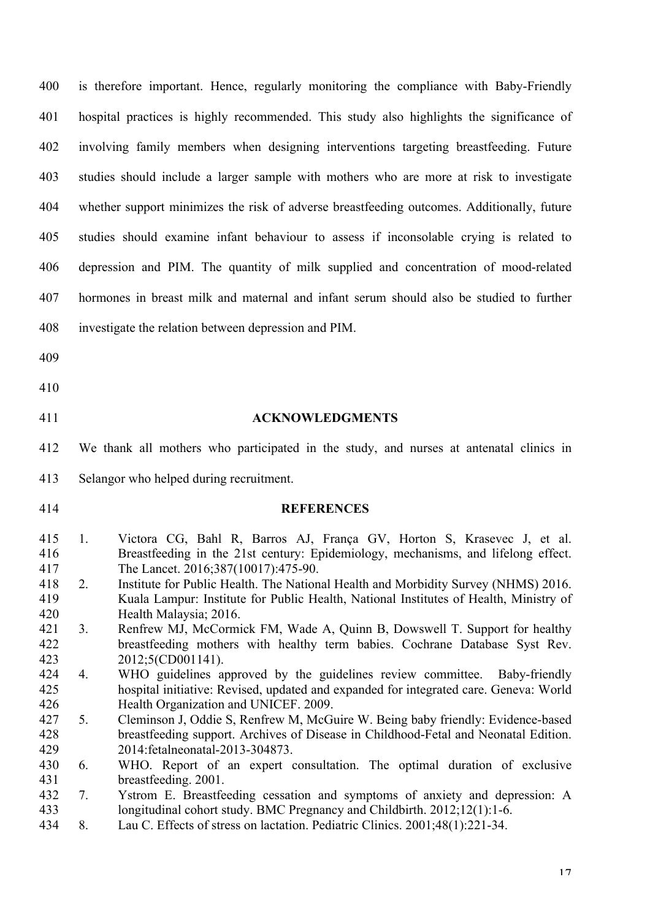| 400                      | is therefore important. Hence, regularly monitoring the compliance with Baby-Friendly                                                                                                                                                                                                                |
|--------------------------|------------------------------------------------------------------------------------------------------------------------------------------------------------------------------------------------------------------------------------------------------------------------------------------------------|
| 401                      | hospital practices is highly recommended. This study also highlights the significance of                                                                                                                                                                                                             |
| 402                      | involving family members when designing interventions targeting breastfeeding. Future                                                                                                                                                                                                                |
| 403                      | studies should include a larger sample with mothers who are more at risk to investigate                                                                                                                                                                                                              |
| 404                      | whether support minimizes the risk of adverse breastfeeding outcomes. Additionally, future                                                                                                                                                                                                           |
| 405                      | studies should examine infant behaviour to assess if inconsolable crying is related to                                                                                                                                                                                                               |
| 406                      | depression and PIM. The quantity of milk supplied and concentration of mood-related                                                                                                                                                                                                                  |
| 407                      | hormones in breast milk and maternal and infant serum should also be studied to further                                                                                                                                                                                                              |
| 408                      | investigate the relation between depression and PIM.                                                                                                                                                                                                                                                 |
| 409                      |                                                                                                                                                                                                                                                                                                      |
| 410                      |                                                                                                                                                                                                                                                                                                      |
| 411                      | <b>ACKNOWLEDGMENTS</b>                                                                                                                                                                                                                                                                               |
| 412                      | We thank all mothers who participated in the study, and nurses at antenatal clinics in                                                                                                                                                                                                               |
| 413                      | Selangor who helped during recruitment.                                                                                                                                                                                                                                                              |
| 414                      | <b>REFERENCES</b>                                                                                                                                                                                                                                                                                    |
| 415<br>416<br>417<br>418 | Victora CG, Bahl R, Barros AJ, França GV, Horton S, Krasevec J, et al.<br>1.<br>Breastfeeding in the 21st century: Epidemiology, mechanisms, and lifelong effect.<br>The Lancet. 2016;387(10017):475-90.<br>Institute for Public Health. The National Health and Morbidity Survey (NHMS) 2016.<br>2. |
| 419<br>420               | Kuala Lampur: Institute for Public Health, National Institutes of Health, Ministry of<br>Health Malaysia; 2016.                                                                                                                                                                                      |
| 421<br>422<br>423        | Renfrew MJ, McCormick FM, Wade A, Quinn B, Dowswell T. Support for healthy<br>3.<br>breastfeeding mothers with healthy term babies. Cochrane Database Syst Rev.<br>2012;5(CD001141).                                                                                                                 |
| 424<br>425<br>426        | WHO guidelines approved by the guidelines review committee. Baby-friendly<br>4.<br>hospital initiative: Revised, updated and expanded for integrated care. Geneva: World<br>Health Organization and UNICEF. 2009.                                                                                    |
| 427<br>428               | Cleminson J, Oddie S, Renfrew M, McGuire W. Being baby friendly: Evidence-based<br>5.<br>breastfeeding support. Archives of Disease in Childhood-Fetal and Neonatal Edition.                                                                                                                         |
| 429                      | 2014: fetalneonatal-2013-304873.                                                                                                                                                                                                                                                                     |
| 430<br>431               | WHO. Report of an expert consultation. The optimal duration of exclusive<br>6.<br>breastfeeding. 2001.                                                                                                                                                                                               |
| 432<br>433<br>434        | Ystrom E. Breastfeeding cessation and symptoms of anxiety and depression: A<br>7.<br>longitudinal cohort study. BMC Pregnancy and Childbirth. 2012;12(1):1-6.<br>Lau C. Effects of stress on lactation. Pediatric Clinics. 2001;48(1):221-34.<br>8.                                                  |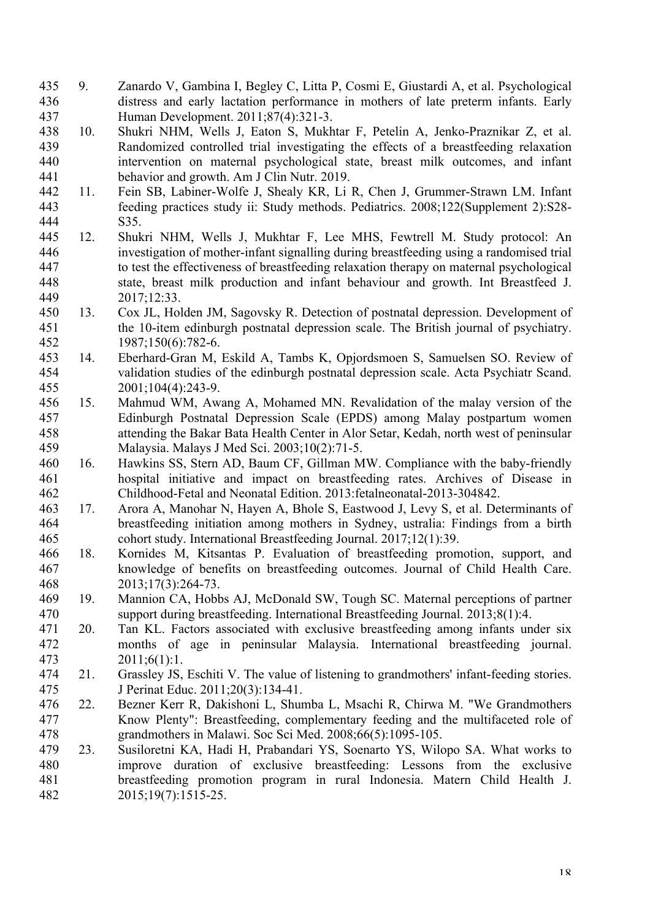- 9. Zanardo V, Gambina I, Begley C, Litta P, Cosmi E, Giustardi A, et al. Psychological distress and early lactation performance in mothers of late preterm infants. Early Human Development. 2011;87(4):321-3.
- 10. Shukri NHM, Wells J, Eaton S, Mukhtar F, Petelin A, Jenko-Praznikar Z, et al. Randomized controlled trial investigating the effects of a breastfeeding relaxation intervention on maternal psychological state, breast milk outcomes, and infant behavior and growth. Am J Clin Nutr. 2019.
- 11. Fein SB, Labiner-Wolfe J, Shealy KR, Li R, Chen J, Grummer-Strawn LM. Infant feeding practices study ii: Study methods. Pediatrics. 2008;122(Supplement 2):S28- S35.
- 12. Shukri NHM, Wells J, Mukhtar F, Lee MHS, Fewtrell M. Study protocol: An investigation of mother-infant signalling during breastfeeding using a randomised trial to test the effectiveness of breastfeeding relaxation therapy on maternal psychological state, breast milk production and infant behaviour and growth. Int Breastfeed J. 2017;12:33.
- 13. Cox JL, Holden JM, Sagovsky R. Detection of postnatal depression. Development of the 10-item edinburgh postnatal depression scale. The British journal of psychiatry. 1987;150(6):782-6.
- 14. Eberhard-Gran M, Eskild A, Tambs K, Opjordsmoen S, Samuelsen SO. Review of validation studies of the edinburgh postnatal depression scale. Acta Psychiatr Scand. 2001;104(4):243-9.
- 15. Mahmud WM, Awang A, Mohamed MN. Revalidation of the malay version of the Edinburgh Postnatal Depression Scale (EPDS) among Malay postpartum women attending the Bakar Bata Health Center in Alor Setar, Kedah, north west of peninsular Malaysia. Malays J Med Sci. 2003;10(2):71-5.
- 16. Hawkins SS, Stern AD, Baum CF, Gillman MW. Compliance with the baby-friendly hospital initiative and impact on breastfeeding rates. Archives of Disease in Childhood-Fetal and Neonatal Edition. 2013:fetalneonatal-2013-304842.
- 17. Arora A, Manohar N, Hayen A, Bhole S, Eastwood J, Levy S, et al. Determinants of breastfeeding initiation among mothers in Sydney, ustralia: Findings from a birth cohort study. International Breastfeeding Journal. 2017;12(1):39.
- 18. Kornides M, Kitsantas P. Evaluation of breastfeeding promotion, support, and knowledge of benefits on breastfeeding outcomes. Journal of Child Health Care. 2013;17(3):264-73.
- 19. Mannion CA, Hobbs AJ, McDonald SW, Tough SC. Maternal perceptions of partner support during breastfeeding. International Breastfeeding Journal. 2013;8(1):4.
- 20. Tan KL. Factors associated with exclusive breastfeeding among infants under six months of age in peninsular Malaysia. International breastfeeding journal. 2011;6(1):1.
- 21. Grassley JS, Eschiti V. The value of listening to grandmothers' infant-feeding stories. J Perinat Educ. 2011;20(3):134-41.
- 22. Bezner Kerr R, Dakishoni L, Shumba L, Msachi R, Chirwa M. "We Grandmothers Know Plenty": Breastfeeding, complementary feeding and the multifaceted role of grandmothers in Malawi. Soc Sci Med. 2008;66(5):1095-105.
- 23. Susiloretni KA, Hadi H, Prabandari YS, Soenarto YS, Wilopo SA. What works to improve duration of exclusive breastfeeding: Lessons from the exclusive breastfeeding promotion program in rural Indonesia. Matern Child Health J. 2015;19(7):1515-25.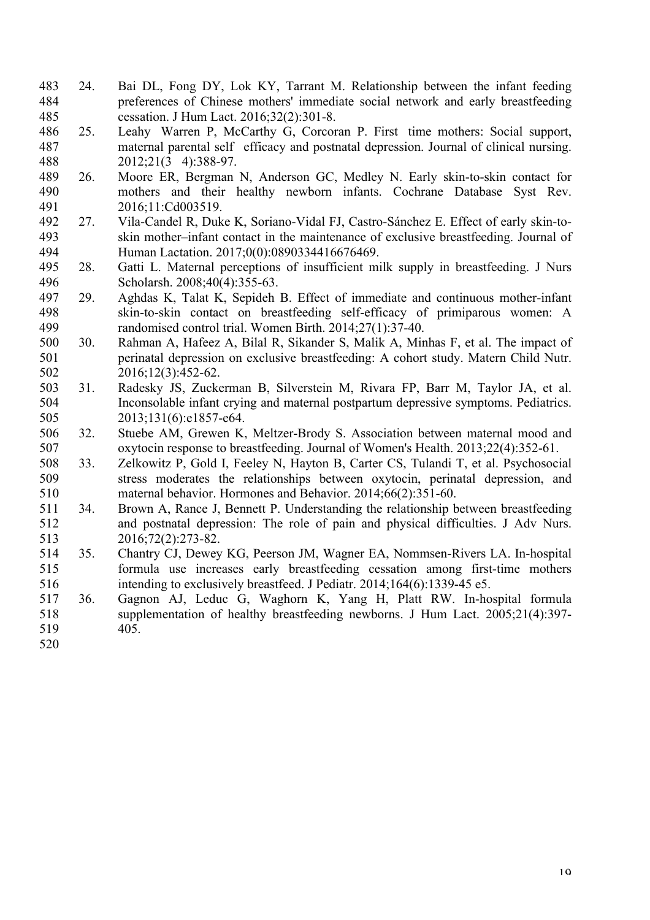- 24. Bai DL, Fong DY, Lok KY, Tarrant M. Relationship between the infant feeding preferences of Chinese mothers' immediate social network and early breastfeeding cessation. J Hum Lact. 2016;32(2):301-8.
- 486 25. Leahy Warren P, McCarthy G, Corcoran P. First time mothers: Social support, maternal parental selfefficacy and postnatal depression. Journal of clinical nursing. 488 2012;21(3 4):388-97.
- 26. Moore ER, Bergman N, Anderson GC, Medley N. Early skin-to-skin contact for mothers and their healthy newborn infants. Cochrane Database Syst Rev. 2016;11:Cd003519.
- 27. Vila-Candel R, Duke K, Soriano-Vidal FJ, Castro-Sánchez E. Effect of early skin-to- skin mother–infant contact in the maintenance of exclusive breastfeeding. Journal of Human Lactation. 2017;0(0):0890334416676469.
- 28. Gatti L. Maternal perceptions of insufficient milk supply in breastfeeding. J Nurs Scholarsh. 2008;40(4):355-63.
- 29. Aghdas K, Talat K, Sepideh B. Effect of immediate and continuous mother-infant skin-to-skin contact on breastfeeding self-efficacy of primiparous women: A randomised control trial. Women Birth. 2014;27(1):37-40.
- 30. Rahman A, Hafeez A, Bilal R, Sikander S, Malik A, Minhas F, et al. The impact of perinatal depression on exclusive breastfeeding: A cohort study. Matern Child Nutr. 2016;12(3):452-62.
- 31. Radesky JS, Zuckerman B, Silverstein M, Rivara FP, Barr M, Taylor JA, et al. Inconsolable infant crying and maternal postpartum depressive symptoms. Pediatrics. 505 2013;131(6):e1857-e64.
- 32. Stuebe AM, Grewen K, Meltzer-Brody S. Association between maternal mood and oxytocin response to breastfeeding. Journal of Women's Health. 2013;22(4):352-61.
- 33. Zelkowitz P, Gold I, Feeley N, Hayton B, Carter CS, Tulandi T, et al. Psychosocial stress moderates the relationships between oxytocin, perinatal depression, and maternal behavior. Hormones and Behavior. 2014;66(2):351-60.
- 34. Brown A, Rance J, Bennett P. Understanding the relationship between breastfeeding and postnatal depression: The role of pain and physical difficulties. J Adv Nurs. 2016;72(2):273-82.
- 35. Chantry CJ, Dewey KG, Peerson JM, Wagner EA, Nommsen-Rivers LA. In-hospital formula use increases early breastfeeding cessation among first-time mothers intending to exclusively breastfeed. J Pediatr. 2014;164(6):1339-45 e5.
- 36. Gagnon AJ, Leduc G, Waghorn K, Yang H, Platt RW. In-hospital formula supplementation of healthy breastfeeding newborns. J Hum Lact. 2005;21(4):397- 405.
-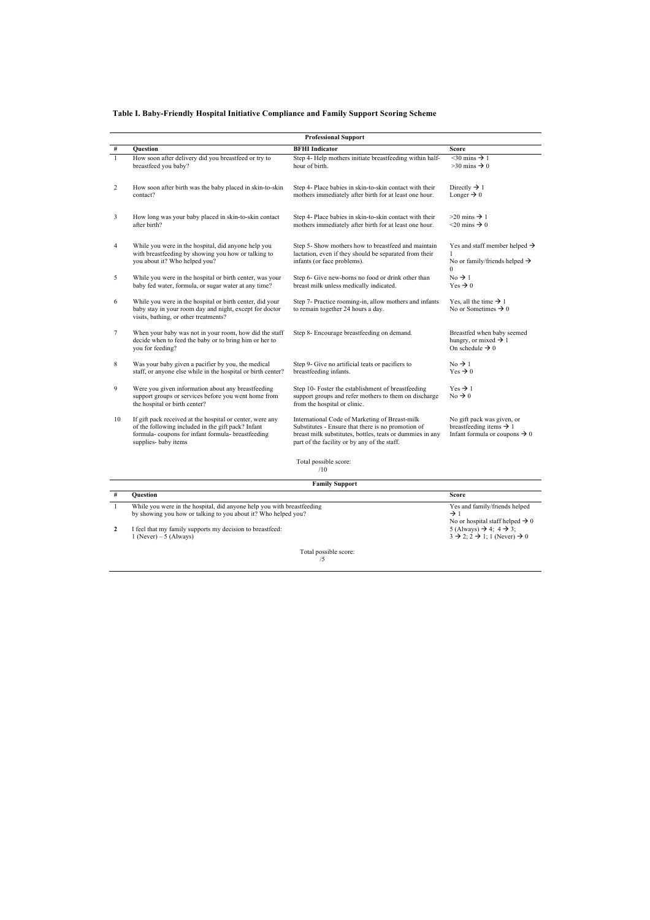#### **Table I. Baby-Friendly Hospital Initiative Compliance and Family Support Scoring Scheme**

|                |                                                                                                                                                                                             | <b>Professional Support</b>                                                                                                                                                                                       |                                                                                                                |
|----------------|---------------------------------------------------------------------------------------------------------------------------------------------------------------------------------------------|-------------------------------------------------------------------------------------------------------------------------------------------------------------------------------------------------------------------|----------------------------------------------------------------------------------------------------------------|
| $\#$           | <b>Ouestion</b>                                                                                                                                                                             | <b>BFHI</b> Indicator                                                                                                                                                                                             | Score                                                                                                          |
| $\mathbf{1}$   | How soon after delivery did you breastfeed or try to<br>breastfeed you baby?                                                                                                                | Step 4- Help mothers initiate breastfeeding within half-<br>hour of birth                                                                                                                                         | $\overline{\leq 30 \text{ mins}}$ + 1<br>$>30$ mins $\rightarrow 0$                                            |
| $\overline{2}$ | How soon after birth was the baby placed in skin-to-skin<br>contact?                                                                                                                        | Step 4- Place babies in skin-to-skin contact with their<br>mothers immediately after birth for at least one hour.                                                                                                 | Directly $\rightarrow$ 1<br>Longer $\rightarrow 0$                                                             |
|                | How long was your baby placed in skin-to-skin contact<br>after birth?                                                                                                                       | Step 4- Place babies in skin-to-skin contact with their<br>mothers immediately after birth for at least one hour.                                                                                                 | $>20$ mins $\rightarrow$ 1<br>$<$ 20 mins $\rightarrow$ 0                                                      |
|                | While you were in the hospital, did anyone help you<br>with breastfeeding by showing you how or talking to<br>you about it? Who helped you?                                                 | Step 5- Show mothers how to breastfeed and maintain<br>lactation, even if they should be separated from their<br>infants (or face problems).                                                                      | Yes and staff member helped $\rightarrow$<br>No or family/friends helped $\rightarrow$<br>$\Omega$             |
|                | While you were in the hospital or birth center, was your<br>baby fed water, formula, or sugar water at any time?                                                                            | Step 6- Give new-borns no food or drink other than<br>breast milk unless medically indicated.                                                                                                                     | $No \rightarrow 1$<br>Yes $\rightarrow 0$                                                                      |
|                | While you were in the hospital or birth center, did your<br>baby stay in your room day and night, except for doctor<br>visits, bathing, or other treatments?                                | Step 7- Practice rooming-in, allow mothers and infants<br>to remain together 24 hours a day.                                                                                                                      | Yes, all the time $\rightarrow$ 1<br>No or Sometimes $\rightarrow 0$                                           |
|                | When your baby was not in your room, how did the staff<br>decide when to feed the baby or to bring him or her to<br>you for feeding?                                                        | Step 8- Encourage breastfeeding on demand.                                                                                                                                                                        | Breastfed when baby seemed<br>hungry, or mixed $\rightarrow$ 1<br>On schedule $\rightarrow 0$                  |
|                | Was your baby given a pacifier by you, the medical<br>staff, or anyone else while in the hospital or birth center?                                                                          | Step 9- Give no artificial teats or pacifiers to<br>breastfeeding infants.                                                                                                                                        | $No \rightarrow 1$<br>Yes $\rightarrow 0$                                                                      |
|                | Were you given information about any breastfeeding<br>support groups or services before you went home from<br>the hospital or birth center?                                                 | Step 10- Foster the establishment of breastfeeding<br>support groups and refer mothers to them on discharge<br>from the hospital or clinic.                                                                       | $Yes \rightarrow 1$<br>$No \rightarrow 0$                                                                      |
| 10             | If gift pack received at the hospital or center, were any<br>of the following included in the gift pack? Infant<br>formula-coupons for infant formula-breastfeeding<br>supplies- baby items | International Code of Marketing of Breast-milk<br>Substitutes - Ensure that there is no promotion of<br>breast milk substitutes, bottles, teats or dummies in any<br>part of the facility or by any of the staff. | No gift pack was given, or<br>breastfeeding items $\rightarrow$ 1<br>Infant formula or coupons $\rightarrow 0$ |
|                |                                                                                                                                                                                             | Total possible score:<br>/10                                                                                                                                                                                      |                                                                                                                |
|                |                                                                                                                                                                                             | <b>Family Support</b>                                                                                                                                                                                             |                                                                                                                |
| $\#$           | <b>Ouestion</b>                                                                                                                                                                             |                                                                                                                                                                                                                   | Score                                                                                                          |
| $\mathbf{1}$   | While you were in the hospital, did anyone help you with breastfeeding                                                                                                                      |                                                                                                                                                                                                                   | Yes and family/friends helped                                                                                  |

| While you were in the hospital, did anyone help you with breastfeeding | Yes and family/friends helped                                     |
|------------------------------------------------------------------------|-------------------------------------------------------------------|
| by showing you how or talking to you about it? Who helped you?         |                                                                   |
|                                                                        | No or hospital staff helped $\rightarrow 0$                       |
| I feel that my family supports my decision to breastfeed:              | $5$ (Always) $\rightarrow$ 4: 4 $\rightarrow$ 3:                  |
| l (Never) – 5 (Always)                                                 | $3 \rightarrow 2$ ; $2 \rightarrow 1$ ; 1 (Never) $\rightarrow 0$ |
|                                                                        |                                                                   |
| Total nossible score:                                                  |                                                                   |

Total possible score: /5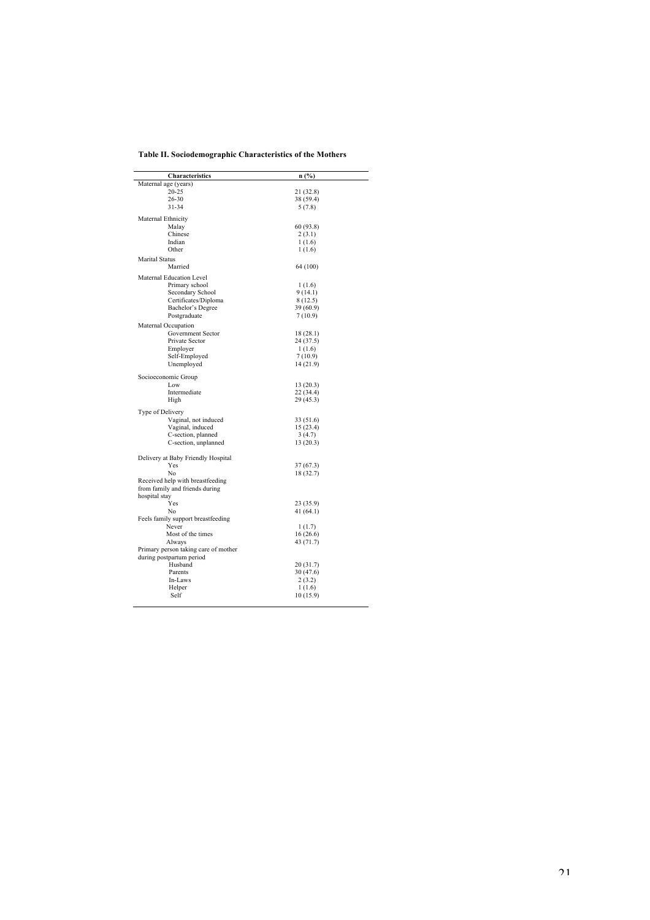| Table II. Sociodemographic Characteristics of the Mothers |
|-----------------------------------------------------------|
|                                                           |

| <b>Characteristics</b>               | n (%)     |  |
|--------------------------------------|-----------|--|
| Maternal age (years)                 |           |  |
| 20-25                                | 21 (32.8) |  |
| 26-30                                | 38 (59.4) |  |
| 31-34                                | 5(7.8)    |  |
| Maternal Ethnicity                   |           |  |
| Malay                                | 60 (93.8) |  |
| Chinese                              | 2(3.1)    |  |
| Indian                               | 1(1.6)    |  |
| Other                                | 1(1.6)    |  |
| <b>Marital Status</b>                |           |  |
| Married                              | 64 (100)  |  |
| Maternal Education Level             |           |  |
| Primary school                       | 1(1.6)    |  |
| Secondary School                     | 9 (14.1)  |  |
| Certificates/Diploma                 | 8(12.5)   |  |
| Bachelor's Degree                    | 39 (60.9) |  |
| Postgraduate                         | 7(10.9)   |  |
| Maternal Occupation                  |           |  |
| Government Sector                    | 18 (28.1) |  |
| Private Sector                       | 24 (37.5) |  |
| Employer                             | 1(1.6)    |  |
| Self-Employed                        | 7(10.9)   |  |
| Unemployed                           | 14 (21.9) |  |
| Socioeconomic Group                  |           |  |
| Low                                  | 13(20.3)  |  |
| Intermediate                         | 22 (34.4) |  |
| High                                 | 29 (45.3) |  |
| Type of Delivery                     |           |  |
| Vaginal, not induced                 | 33 (51.6) |  |
| Vaginal, induced                     | 15 (23.4) |  |
| C-section, planned                   | 3(4.7)    |  |
| C-section, unplanned                 | 13(20.3)  |  |
| Delivery at Baby Friendly Hospital   |           |  |
| Yes                                  | 37(67.3)  |  |
| No                                   | 18 (32.7) |  |
| Received help with breastfeeding     |           |  |
| from family and friends during       |           |  |
| hospital stay                        |           |  |
| Yes                                  | 23 (35.9) |  |
| No                                   | 41(64.1)  |  |
| Feels family support breastfeeding   |           |  |
| Never                                | 1(1.7)    |  |
| Most of the times                    | 16(26.6)  |  |
| Always                               | 43 (71.7) |  |
| Primary person taking care of mother |           |  |
| during postpartum period             |           |  |
| Husband                              | 20 (31.7) |  |
| Parents                              | 30 (47.6) |  |
| In-Laws                              | 2(3.2)    |  |
| Helper                               | 1(1.6)    |  |
| Self                                 | 10 (15.9) |  |
|                                      |           |  |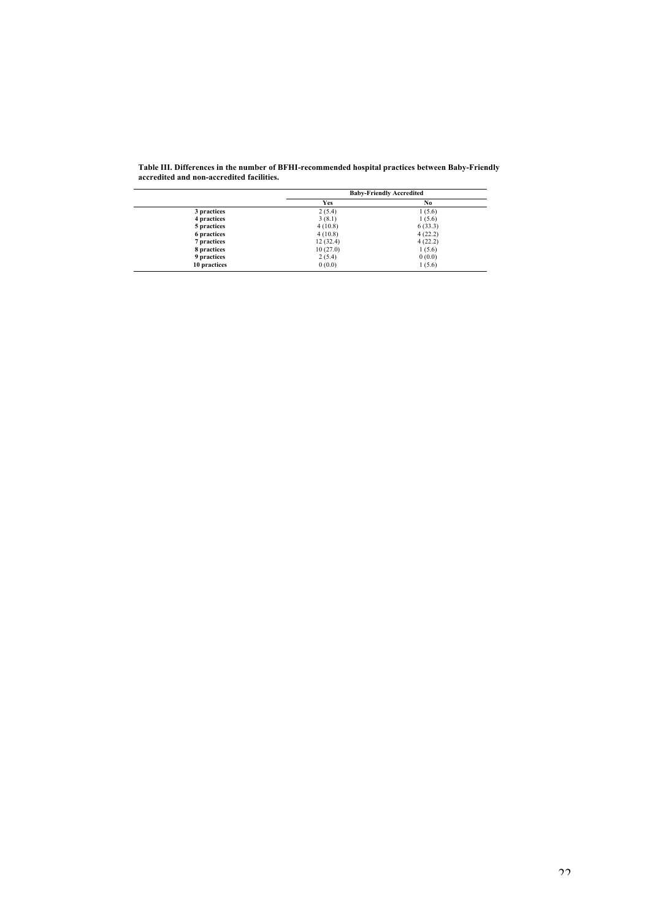|              | <b>Baby-Friendly Accredited</b> |         |  |
|--------------|---------------------------------|---------|--|
|              | Yes                             | No      |  |
| 3 practices  | 2(5.4)                          | 1(5.6)  |  |
| 4 practices  | 3(8.1)                          | 1(5.6)  |  |
| 5 practices  | 4(10.8)                         | 6(33.3) |  |
| 6 practices  | 4(10.8)                         | 4(22.2) |  |
| 7 practices  | 12(32.4)                        | 4(22.2) |  |
| 8 practices  | 10(27.0)                        | 1(5.6)  |  |
| 9 practices  | 2(5.4)                          | 0(0.0)  |  |
| 10 practices | 0(0.0)                          | 1(5.6)  |  |

| Table III. Differences in the number of BFHI-recommended hospital practices between Baby-Friendly |  |
|---------------------------------------------------------------------------------------------------|--|
| accredited and non-accredited facilities.                                                         |  |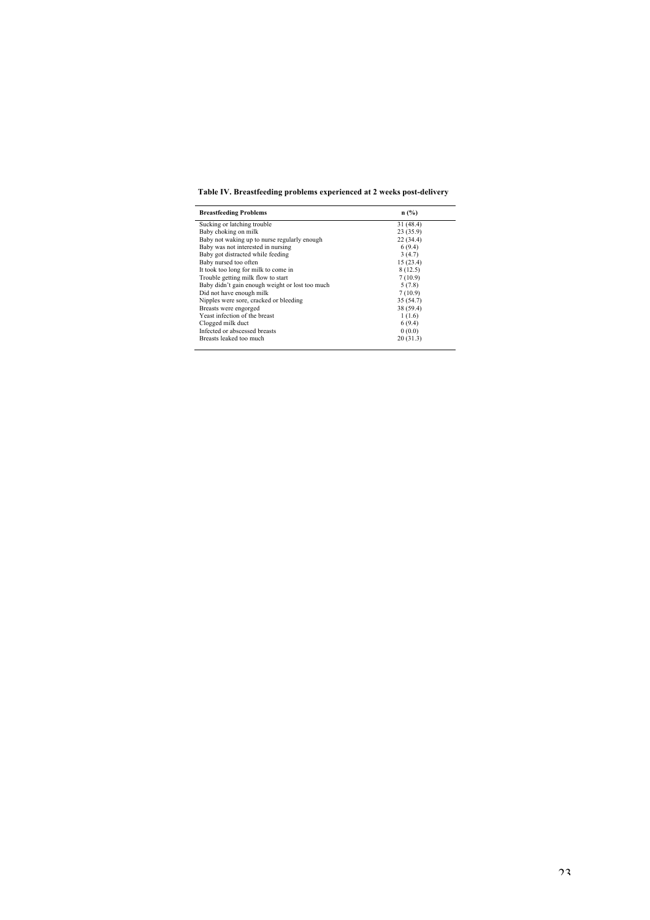**Table IV. Breastfeeding problems experienced at 2 weeks post-delivery** 

| <b>Breastfeeding Problems</b>                   | $n$ (%)   |
|-------------------------------------------------|-----------|
| Sucking or latching trouble                     | 31 (48.4) |
| Baby choking on milk                            | 23(35.9)  |
| Baby not waking up to nurse regularly enough    | 22(34.4)  |
| Baby was not interested in nursing              | 6(9.4)    |
| Baby got distracted while feeding               | 3(4.7)    |
| Baby nursed too often                           | 15(23.4)  |
| It took too long for milk to come in            | 8(12.5)   |
| Trouble getting milk flow to start              | 7(10.9)   |
| Baby didn't gain enough weight or lost too much | 5(7.8)    |
| Did not have enough milk                        | 7(10.9)   |
| Nipples were sore, cracked or bleeding          | 35 (54.7) |
| Breasts were engorged                           | 38 (59.4) |
| Yeast infection of the breast                   | 1(1.6)    |
| Clogged milk duct                               | 6(9.4)    |
| Infected or abscessed breasts                   | 0(0.0)    |
| Breasts leaked too much                         | 20(31.3)  |
|                                                 |           |